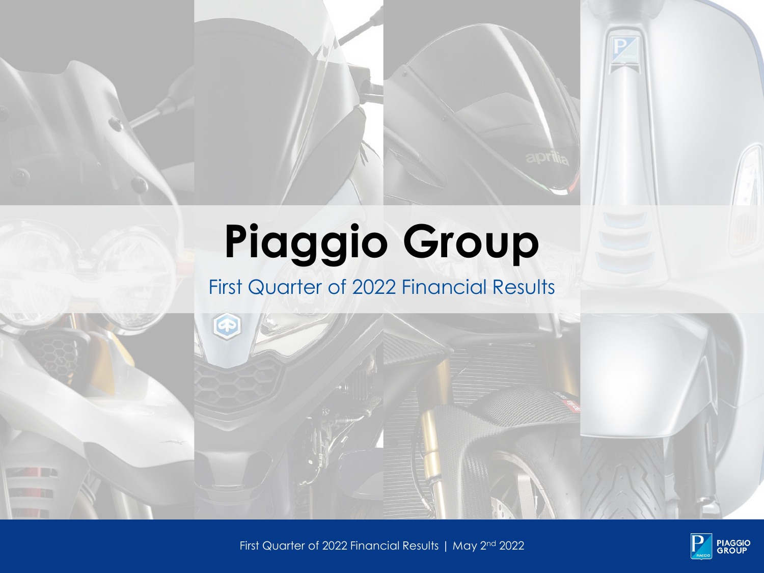# **Piaggio Group**

### First Quarter of 2022 Financial Results

First Quarter of 2022 Financial Results | May 2 nd 1. 2022

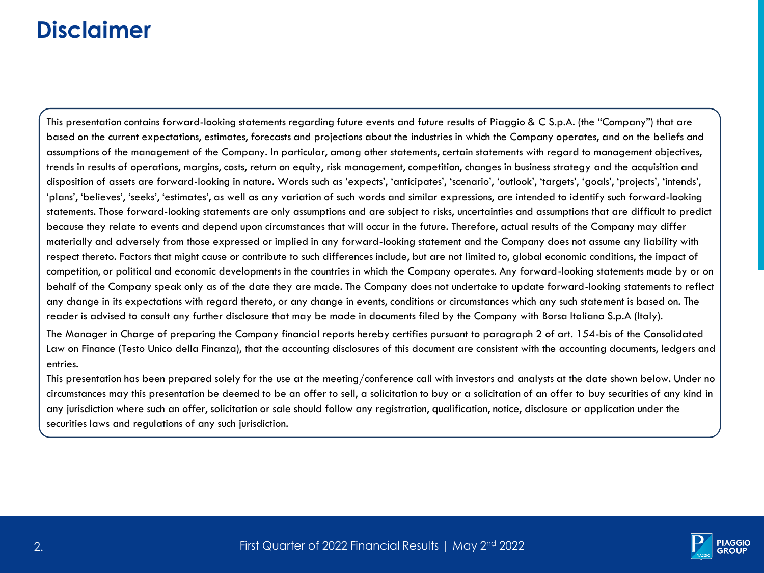### **Disclaimer**

This presentation contains forward-looking statements regarding future events and future results of Piaggio & C S.p.A. (the "Company") that are based on the current expectations, estimates, forecasts and projections about the industries in which the Company operates, and on the beliefs and assumptions of the management of the Company. In particular, among other statements, certain statements with regard to management objectives, trends in results of operations, margins, costs, return on equity, risk management, competition, changes in business strategy and the acquisition and disposition of assets are forward-looking in nature. Words such as 'expects', 'anticipates', 'scenario', 'outlook', 'targets', 'goals', 'projects', 'intends', 'plans', 'believes', 'seeks', 'estimates', as well as any variation of such words and similar expressions, are intended to identify such forward-looking statements. Those forward-looking statements are only assumptions and are subject to risks, uncertainties and assumptions that are difficult to predict because they relate to events and depend upon circumstances that will occur in the future. Therefore, actual results of the Company may differ materially and adversely from those expressed or implied in any forward-looking statement and the Company does not assume any liability with respect thereto. Factors that might cause or contribute to such differences include, but are not limited to, global economic conditions, the impact of competition, or political and economic developments in the countries in which the Company operates. Any forward-looking statements made by or on behalf of the Company speak only as of the date they are made. The Company does not undertake to update forward-looking statements to reflect any change in its expectations with regard thereto, or any change in events, conditions or circumstances which any such statement is based on. The reader is advised to consult any further disclosure that may be made in documents filed by the Company with Borsa Italiana S.p.A (Italy).

The Manager in Charge of preparing the Company financial reports hereby certifies pursuant to paragraph 2 of art. 154-bis of the Consolidated Law on Finance (Testo Unico della Finanza), that the accounting disclosures of this document are consistent with the accounting documents, ledgers and entries.

This presentation has been prepared solely for the use at the meeting/conference call with investors and analysts at the date shown below. Under no circumstances may this presentation be deemed to be an offer to sell, a solicitation to buy or a solicitation of an offer to buy securities of any kind in any jurisdiction where such an offer, solicitation or sale should follow any registration, qualification, notice, disclosure or application under the securities laws and regulations of any such jurisdiction.

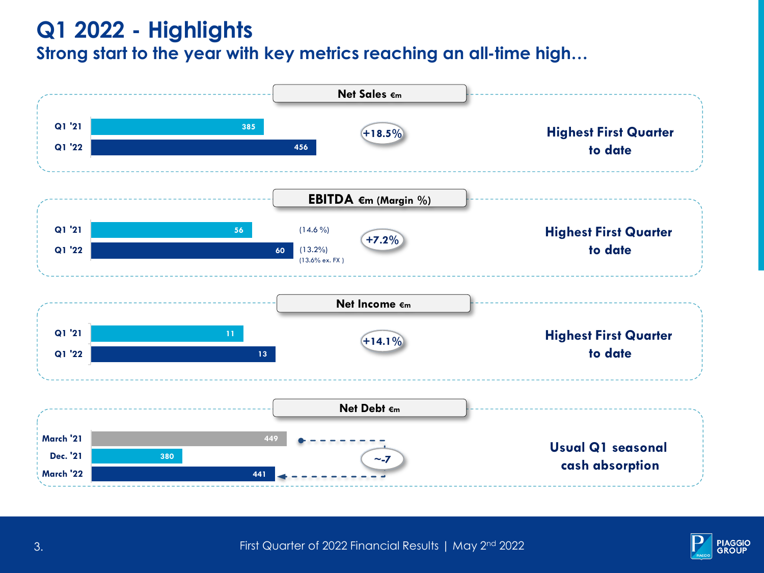### **Q1 2022 - Highlights Strong start to the year with key metrics reaching an all-time high…**



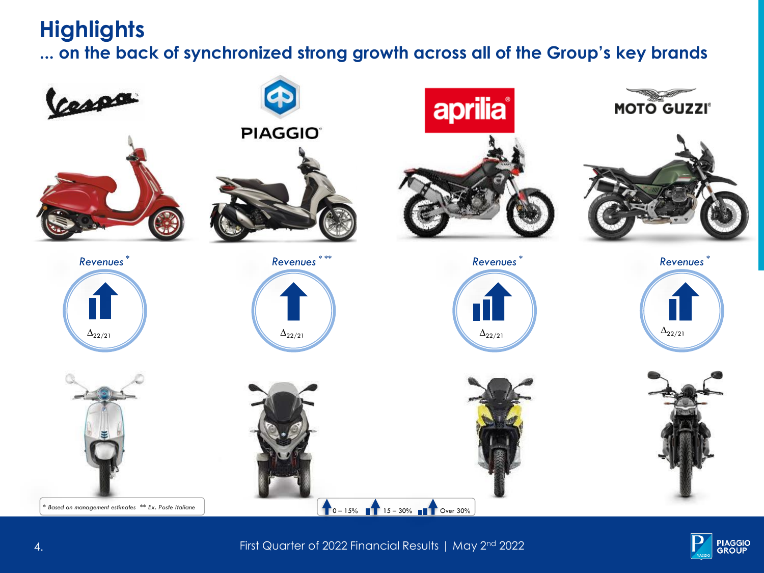### **Highlights**

**... on the back of synchronized strong growth across all of the Group's key brands**





First Quarter of 2022 Financial Results | May 2 nd 4. 2022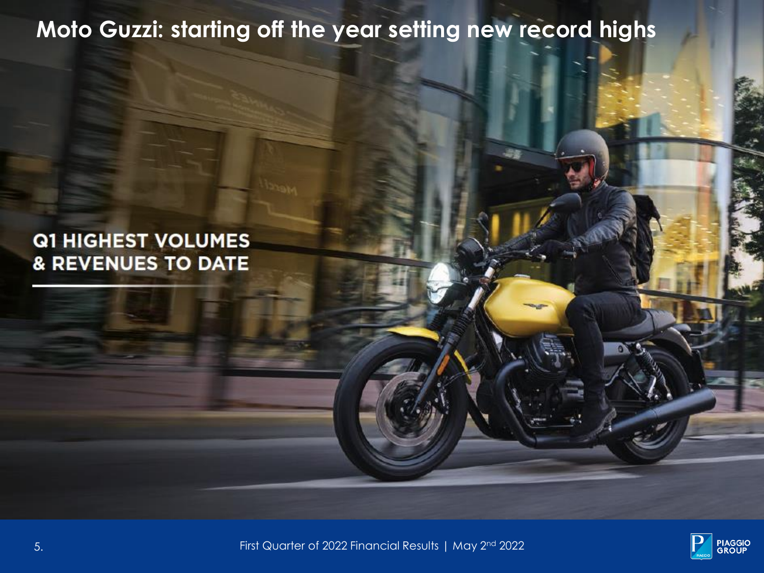## **Moto Guzzi: starting off the year setting new record highs**

### **Q1 HIGHEST VOLUMES & REVENUES TO DATE**



First Quarter of 2022 Financial Results | May 2 nd 5. 2022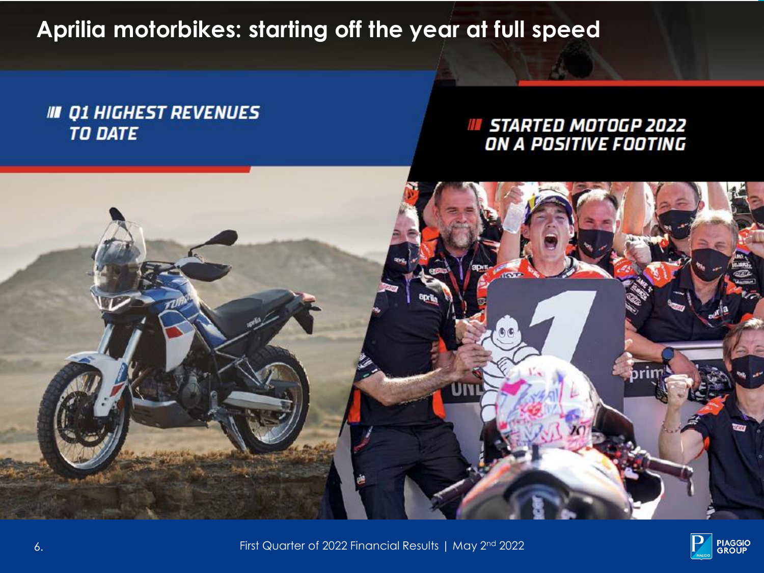**Aprilia motorbikes: starting off the year at full speed**

### **III Q1 HIGHEST REVENUES TO DATE**

### **IN STARTED MOTOGP 2022** ON A POSITIVE FOOTING





First Quarter of 2022 Financial Results | May 2 nd 6. 2022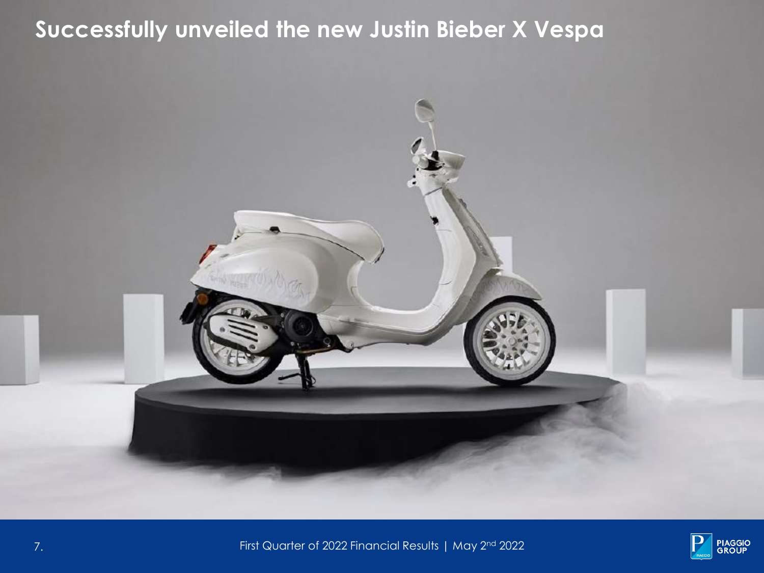# **Successfully unveiled the new Justin Bieber X Vespa**





First Quarter of 2022 Financial Results | May 2 nd 7. 2022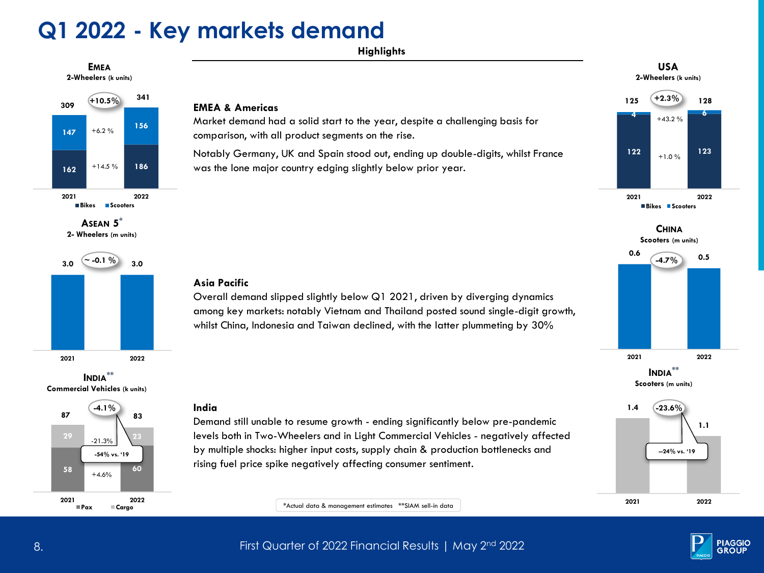### **Q1 2022 - Key markets demand**

**Highlights**





**2- Wheelers (m units)**







#### **EMEA & Americas**

Market demand had a solid start to the year, despite a challenging basis for comparison, with all product segments on the rise.

Notably Germany, UK and Spain stood out, ending up double-digits, whilst France was the lone major country edging slightly below prior year.

#### **USA 2-Wheelers (k units)**





**2021 2022**

**-23.6%**

**INDIA\*\* Scooters (m units)**

#### **Asia Pacific**

Overall demand slipped slightly below Q1 2021, driven by diverging dynamics among key markets: notably Vietnam and Thailand posted sound single-digit growth, whilst China, Indonesia and Taiwan declined, with the latter plummeting by 30%

#### **India**



\*Actual data & management estimates \*\*SIAM sell-in data

**2021 2022**

**1.4**



**1.1**

First Quarter of 2022 Financial Results | May 2 nd 8. 2022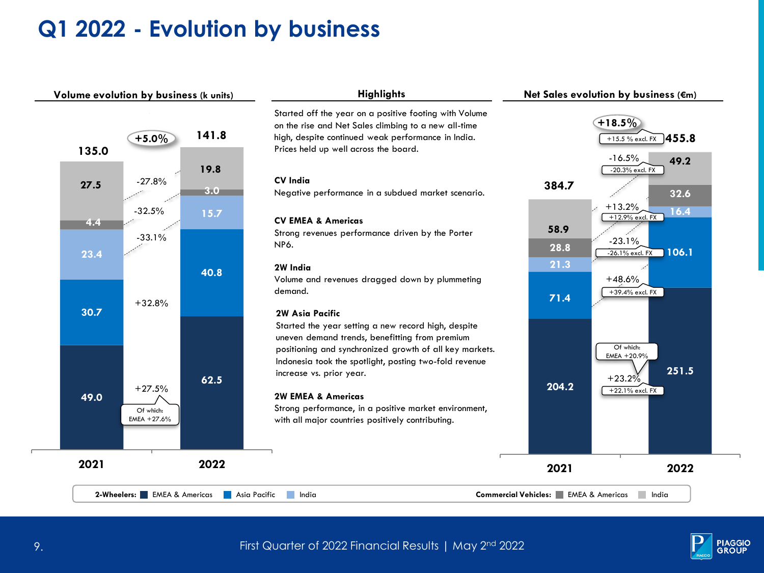### **Q1 2022 - Evolution by business**



**2-Wheelers:** EMEA & Americas Asia Pacific

#### **Highlights**

Started off the year on a positive footing with Volume on the rise and Net Sales climbing to a new all-time high, despite continued weak performance in India. Prices held up well across the board.

#### **CV India**

Negative performance in a subdued market scenario.

#### **CV EMEA & Americas**

Strong revenues performance driven by the Porter NP6.

#### **2W India**

Volume and revenues dragged down by plummeting demand.

#### **2W Asia Pacific**

Started the year setting a new record high, despite uneven demand trends, benefitting from premium positioning and synchronized growth of all key markets. Indonesia took the spotlight, posting two-fold revenue increase vs. prior year.

#### **2W EMEA & Americas**

Strong performance, in a positive market environment, with all major countries positively contributing.



**2021 2022**

EMEA & Americas Asia Pacific India **Commercial Vehicles:** EMEA & Americas India

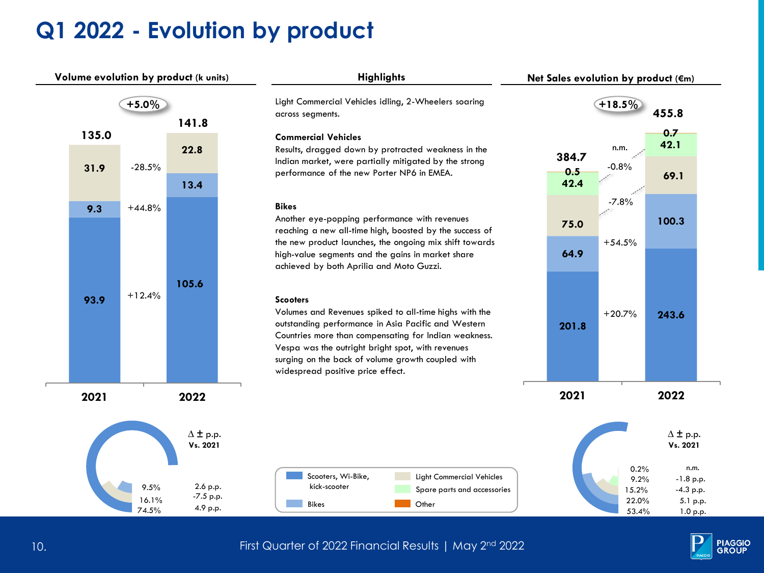## **Q1 2022 - Evolution by product**





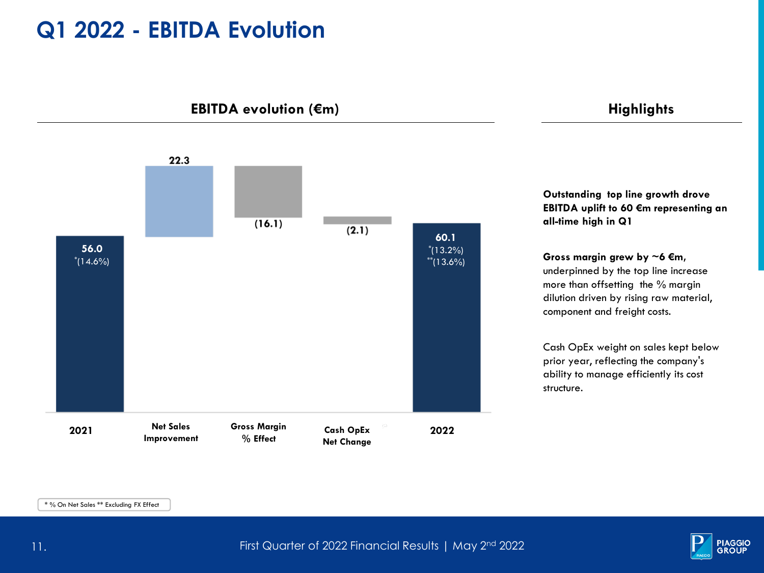### **Q1 2022 - EBITDA Evolution**

**EBITDA** evolution (€m) **Highlights** 



**Outstanding top line growth drove EBITDA uplift to 60 €m representing an all-time high in Q1** 

**Gross margin grew by ~6 €m,**  underpinned by the top line increase more than offsetting the % margin dilution driven by rising raw material, component and freight costs.

Cash OpEx weight on sales kept below prior year, reflecting the company's ability to manage efficiently its cost structure.

\* % On Net Sales \*\* Excluding FX Effect

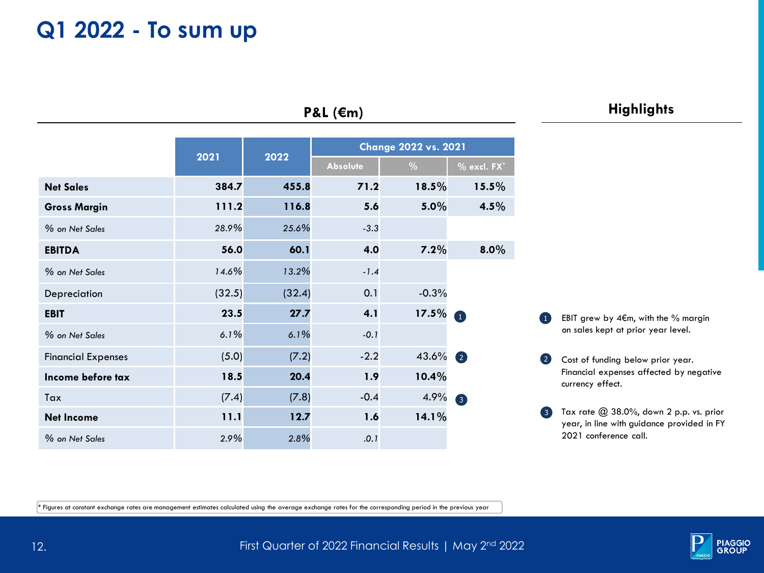### **Q1 2022 - To sum up**

|                           | 2021   | 2022   | <b>Change 2022 vs. 2021</b> |         |                   |
|---------------------------|--------|--------|-----------------------------|---------|-------------------|
|                           |        |        | <b>Absolute</b>             | $\%$    | $%$ excl. $FX^*$  |
| <b>Net Sales</b>          | 384.7  | 455.8  | 71.2                        | 18.5%   | 15.5%             |
| <b>Gross Margin</b>       | 111.2  | 116.8  | 5.6                         | 5.0%    | 4.5%              |
| % on Net Sales            | 28.9%  | 25.6%  | $-3.3$                      |         |                   |
| <b>EBITDA</b>             | 56.0   | 60.1   | 4.0                         | 7.2%    | $8.0\%$           |
| % on Net Sales            | 14.6%  | 13.2%  | $-1.4$                      |         |                   |
| Depreciation              | (32.5) | (32.4) | 0.1                         | $-0.3%$ |                   |
| <b>EBIT</b>               | 23.5   | 27.7   | 4.1                         | 17.5%   | $\bullet$         |
| % on Net Sales            | 6.1%   | 6.1%   | $-0.1$                      |         |                   |
| <b>Financial Expenses</b> | (5.0)  | (7.2)  | $-2.2$                      | 43.6%   | $\left( 2\right)$ |
| Income before tax         | 18.5   | 20.4   | 1.9                         | 10.4%   |                   |
| Tax                       | (7.4)  | (7.8)  | $-0.4$                      | 4.9%    | $\bullet$         |
| Net Income                | 11.1   | 12.7   | 1.6                         | 14.1%   |                   |
| % on Net Sales            | 2.9%   | 2.8%   | .0.1                        |         |                   |

### **P&L (€m)**

### **Highlights**

EBIT grew by 4€m, with the % margin on sales kept at prior year level.  $\bullet$ 

2 Cost of funding below prior year. Financial expenses affected by negative currency effect.

 $3$  Tax rate  $@$  38.0%, down 2 p.p. vs. prior year, in line with guidance provided in FY 2021 conference call.

 $\ast$  Figures at constant exchange rates are management estimates calculated using the average exchange rates for the corresponding period in the previous year

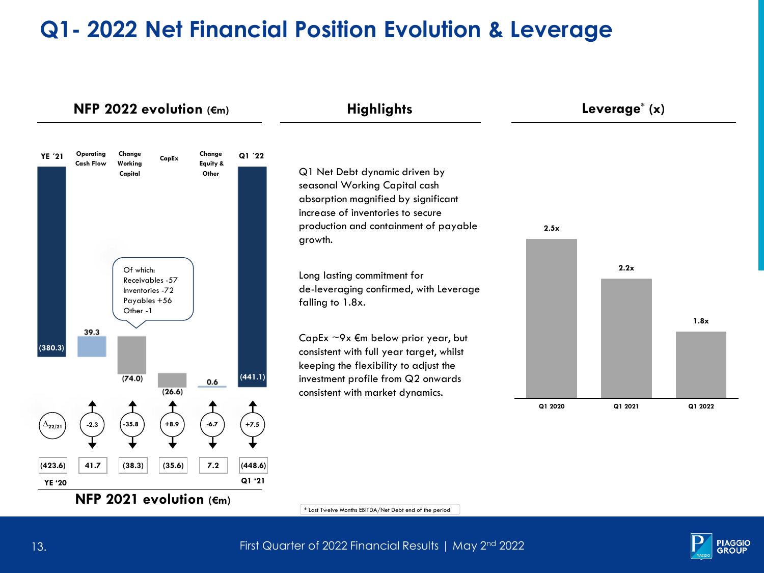## **Q1- 2022 Net Financial Position Evolution & Leverage**





13. In the state of 2022 Financial Results | May 2<sup>nd</sup> 2022 Financial Results | May 2<sup>nd</sup> 2022